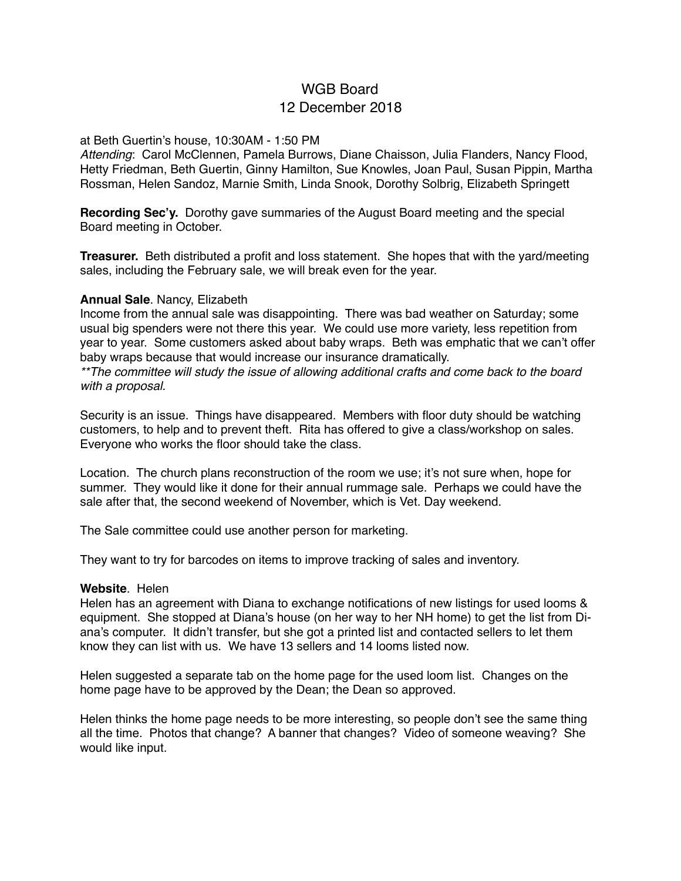# WGB Board 12 December 2018

#### at Beth Guertin's house, 10:30AM - 1:50 PM

*Attending*: Carol McClennen, Pamela Burrows, Diane Chaisson, Julia Flanders, Nancy Flood, Hetty Friedman, Beth Guertin, Ginny Hamilton, Sue Knowles, Joan Paul, Susan Pippin, Martha Rossman, Helen Sandoz, Marnie Smith, Linda Snook, Dorothy Solbrig, Elizabeth Springett

**Recording Sec'y.** Dorothy gave summaries of the August Board meeting and the special Board meeting in October.

**Treasurer.** Beth distributed a profit and loss statement. She hopes that with the yard/meeting sales, including the February sale, we will break even for the year.

#### **Annual Sale**. Nancy, Elizabeth

Income from the annual sale was disappointing. There was bad weather on Saturday; some usual big spenders were not there this year. We could use more variety, less repetition from year to year. Some customers asked about baby wraps. Beth was emphatic that we can't offer baby wraps because that would increase our insurance dramatically.

*\*\*The committee will study the issue of allowing additional crafts and come back to the board with a proposal.*

Security is an issue. Things have disappeared. Members with floor duty should be watching customers, to help and to prevent theft. Rita has offered to give a class/workshop on sales. Everyone who works the floor should take the class.

Location. The church plans reconstruction of the room we use; it's not sure when, hope for summer. They would like it done for their annual rummage sale. Perhaps we could have the sale after that, the second weekend of November, which is Vet. Day weekend.

The Sale committee could use another person for marketing.

They want to try for barcodes on items to improve tracking of sales and inventory.

#### **Website**. Helen

Helen has an agreement with Diana to exchange notifications of new listings for used looms & equipment. She stopped at Diana's house (on her way to her NH home) to get the list from Diana's computer. It didn't transfer, but she got a printed list and contacted sellers to let them know they can list with us. We have 13 sellers and 14 looms listed now.

Helen suggested a separate tab on the home page for the used loom list. Changes on the home page have to be approved by the Dean; the Dean so approved.

Helen thinks the home page needs to be more interesting, so people don't see the same thing all the time. Photos that change? A banner that changes? Video of someone weaving? She would like input.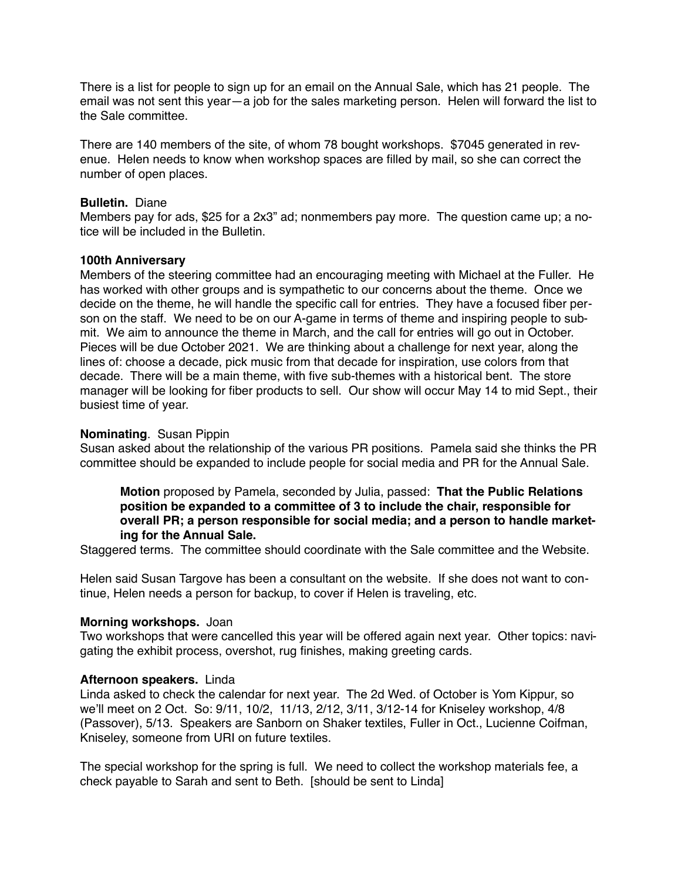There is a list for people to sign up for an email on the Annual Sale, which has 21 people. The email was not sent this year—a job for the sales marketing person. Helen will forward the list to the Sale committee.

There are 140 members of the site, of whom 78 bought workshops. \$7045 generated in revenue. Helen needs to know when workshop spaces are filled by mail, so she can correct the number of open places.

# **Bulletin.** Diane

Members pay for ads, \$25 for a 2x3" ad; nonmembers pay more. The question came up; a notice will be included in the Bulletin.

# **100th Anniversary**

Members of the steering committee had an encouraging meeting with Michael at the Fuller. He has worked with other groups and is sympathetic to our concerns about the theme. Once we decide on the theme, he will handle the specific call for entries. They have a focused fiber person on the staff. We need to be on our A-game in terms of theme and inspiring people to submit. We aim to announce the theme in March, and the call for entries will go out in October. Pieces will be due October 2021. We are thinking about a challenge for next year, along the lines of: choose a decade, pick music from that decade for inspiration, use colors from that decade. There will be a main theme, with five sub-themes with a historical bent. The store manager will be looking for fiber products to sell. Our show will occur May 14 to mid Sept., their busiest time of year.

# **Nominating**. Susan Pippin

Susan asked about the relationship of the various PR positions. Pamela said she thinks the PR committee should be expanded to include people for social media and PR for the Annual Sale.

**Motion** proposed by Pamela, seconded by Julia, passed: **That the Public Relations position be expanded to a committee of 3 to include the chair, responsible for overall PR; a person responsible for social media; and a person to handle marketing for the Annual Sale.**

Staggered terms. The committee should coordinate with the Sale committee and the Website.

Helen said Susan Targove has been a consultant on the website. If she does not want to continue, Helen needs a person for backup, to cover if Helen is traveling, etc.

## **Morning workshops.** Joan

Two workshops that were cancelled this year will be offered again next year. Other topics: navigating the exhibit process, overshot, rug finishes, making greeting cards.

## **Afternoon speakers.** Linda

Linda asked to check the calendar for next year. The 2d Wed. of October is Yom Kippur, so we'll meet on 2 Oct. So: 9/11, 10/2, 11/13, 2/12, 3/11, 3/12-14 for Kniseley workshop, 4/8 (Passover), 5/13. Speakers are Sanborn on Shaker textiles, Fuller in Oct., Lucienne Coifman, Kniseley, someone from URI on future textiles.

The special workshop for the spring is full. We need to collect the workshop materials fee, a check payable to Sarah and sent to Beth. [should be sent to Linda]